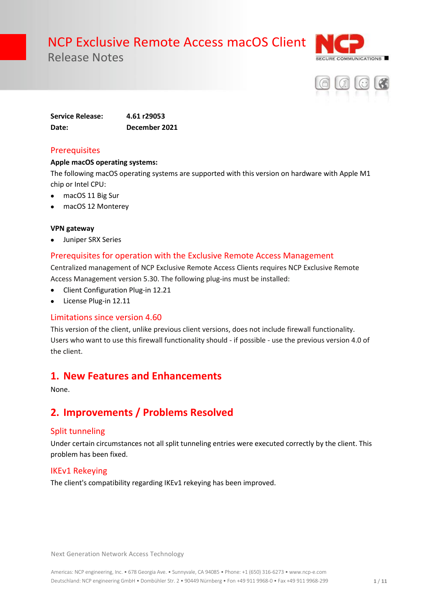



**Service Release: 4.61 r29053 Date: December 2021**

### **Prerequisites**

#### **Apple macOS operating systems:**

The following macOS operating systems are supported with this version on hardware with Apple M1 chip or Intel CPU:

- macOS 11 Big Sur
- macOS 12 Monterey

#### **VPN gateway**

• Juniper SRX Series

## Prerequisites for operation with the Exclusive Remote Access Management

Centralized management of NCP Exclusive Remote Access Clients requires NCP Exclusive Remote Access Management version 5.30. The following plug-ins must be installed:

- Client Configuration Plug-in 12.21
- License Plug-in 12.11

#### Limitations since version 4.60

This version of the client, unlike previous client versions, does not include firewall functionality. Users who want to use this firewall functionality should - if possible - use the previous version 4.0 of the client.

## **1. New Features and Enhancements**

None.

## **2. Improvements / Problems Resolved**

## Split tunneling

Under certain circumstances not all split tunneling entries were executed correctly by the client. This problem has been fixed.

#### IKEv1 Rekeying

The client's compatibility regarding IKEv1 rekeying has been improved.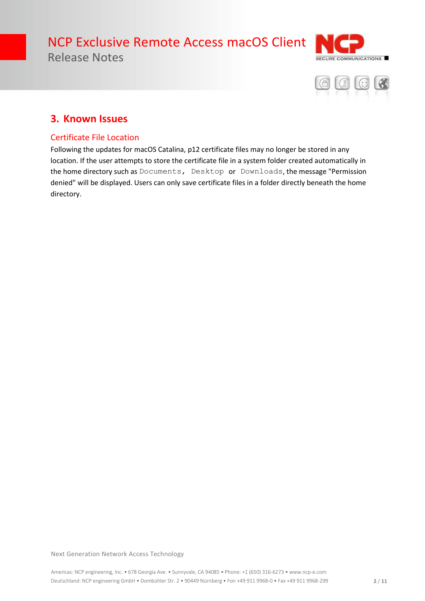



## **3. Known Issues**

## Certificate File Location

Following the updates for macOS Catalina, p12 certificate files may no longer be stored in any location. If the user attempts to store the certificate file in a system folder created automatically in the home directory such as Documents, Desktop or Downloads, the message "Permission denied" will be displayed. Users can only save certificate files in a folder directly beneath the home directory.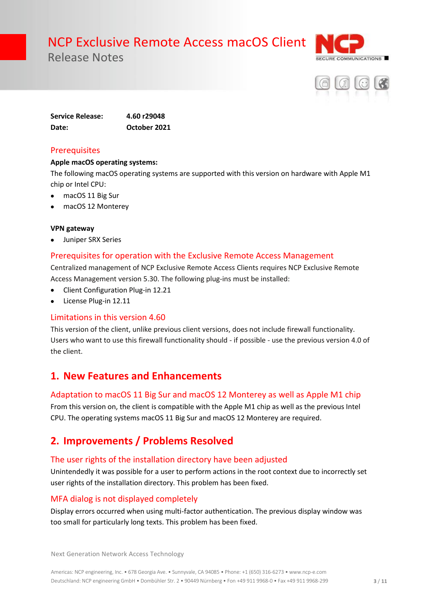



**Service Release: 4.60 r29048 Date: October 2021**

### **Prerequisites**

#### **Apple macOS operating systems:**

The following macOS operating systems are supported with this version on hardware with Apple M1 chip or Intel CPU:

- macOS 11 Big Sur
- macOS 12 Monterey

#### **VPN gateway**

• Juniper SRX Series

## Prerequisites for operation with the Exclusive Remote Access Management

Centralized management of NCP Exclusive Remote Access Clients requires NCP Exclusive Remote Access Management version 5.30. The following plug-ins must be installed:

- Client Configuration Plug-in 12.21
- License Plug-in 12.11

## Limitations in this version 4.60

This version of the client, unlike previous client versions, does not include firewall functionality. Users who want to use this firewall functionality should - if possible - use the previous version 4.0 of the client.

## **1. New Features and Enhancements**

#### Adaptation to macOS 11 Big Sur and macOS 12 Monterey as well as Apple M1 chip

From this version on, the client is compatible with the Apple M1 chip as well as the previous Intel CPU. The operating systems macOS 11 Big Sur and macOS 12 Monterey are required.

## **2. Improvements / Problems Resolved**

## The user rights of the installation directory have been adjusted

Unintendedly it was possible for a user to perform actions in the root context due to incorrectly set user rights of the installation directory. This problem has been fixed.

## MFA dialog is not displayed completely

Display errors occurred when using multi-factor authentication. The previous display window was too small for particularly long texts. This problem has been fixed.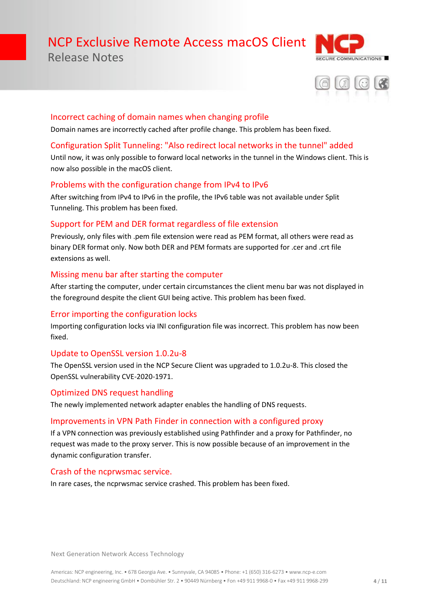# NCP Exclusive Remote Access macOS Client

Release Notes





#### Incorrect caching of domain names when changing profile

Domain names are incorrectly cached after profile change. This problem has been fixed.

### Configuration Split Tunneling: "Also redirect local networks in the tunnel" added

Until now, it was only possible to forward local networks in the tunnel in the Windows client. This is now also possible in the macOS client.

## Problems with the configuration change from IPv4 to IPv6

After switching from IPv4 to IPv6 in the profile, the IPv6 table was not available under Split Tunneling. This problem has been fixed.

### Support for PEM and DER format regardless of file extension

Previously, only files with .pem file extension were read as PEM format, all others were read as binary DER format only. Now both DER and PEM formats are supported for .cer and .crt file extensions as well.

### Missing menu bar after starting the computer

After starting the computer, under certain circumstances the client menu bar was not displayed in the foreground despite the client GUI being active. This problem has been fixed.

#### Error importing the configuration locks

Importing configuration locks via INI configuration file was incorrect. This problem has now been fixed.

#### Update to OpenSSL version 1.0.2u-8

The OpenSSL version used in the NCP Secure Client was upgraded to 1.0.2u-8. This closed the OpenSSL vulnerability CVE-2020-1971.

## Optimized DNS request handling

The newly implemented network adapter enables the handling of DNS requests.

#### Improvements in VPN Path Finder in connection with a configured proxy

If a VPN connection was previously established using Pathfinder and a proxy for Pathfinder, no request was made to the proxy server. This is now possible because of an improvement in the dynamic configuration transfer.

## Crash of the ncprwsmac service.

In rare cases, the ncprwsmac service crashed. This problem has been fixed.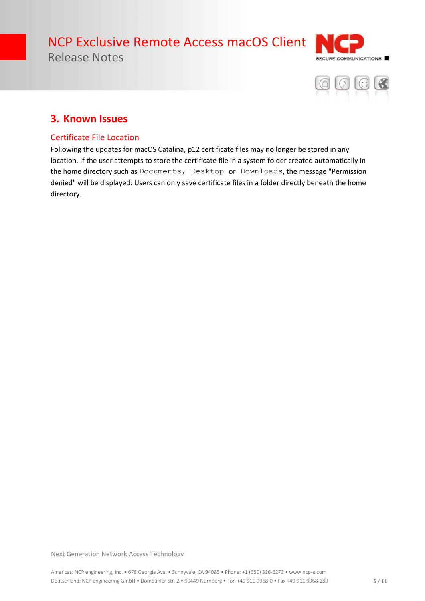



## **3. Known Issues**

### Certificate File Location

Following the updates for macOS Catalina, p12 certificate files may no longer be stored in any location. If the user attempts to store the certificate file in a system folder created automatically in the home directory such as Documents, Desktop or Downloads, the message "Permission denied" will be displayed. Users can only save certificate files in a folder directly beneath the home directory.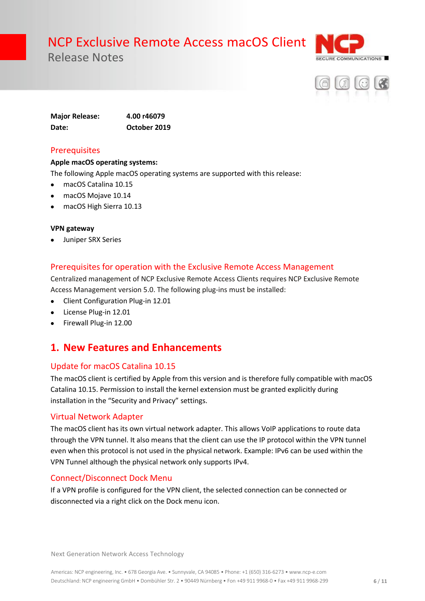



**Major Release: 4.00 r46079 Date: October 2019**

## **Prerequisites**

#### **Apple macOS operating systems:**

The following Apple macOS operating systems are supported with this release:

- macOS Catalina 10.15
- macOS Mojave 10.14
- macOS High Sierra 10.13

#### **VPN gateway**

• Juniper SRX Series

### Prerequisites for operation with the Exclusive Remote Access Management

Centralized management of NCP Exclusive Remote Access Clients requires NCP Exclusive Remote Access Management version 5.0. The following plug-ins must be installed:

- Client Configuration Plug-in 12.01
- License Plug-in 12.01
- Firewall Plug-in 12.00

## **1. New Features and Enhancements**

#### Update for macOS Catalina 10.15

The macOS client is certified by Apple from this version and is therefore fully compatible with macOS Catalina 10.15. Permission to install the kernel extension must be granted explicitly during installation in the "Security and Privacy" settings.

#### Virtual Network Adapter

The macOS client has its own virtual network adapter. This allows VoIP applications to route data through the VPN tunnel. It also means that the client can use the IP protocol within the VPN tunnel even when this protocol is not used in the physical network. Example: IPv6 can be used within the VPN Tunnel although the physical network only supports IPv4.

#### Connect/Disconnect Dock Menu

If a VPN profile is configured for the VPN client, the selected connection can be connected or disconnected via a right click on the Dock menu icon.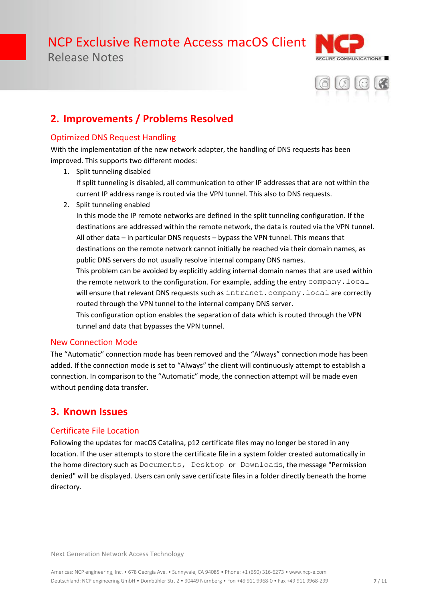



## **2. Improvements / Problems Resolved**

## Optimized DNS Request Handling

With the implementation of the new network adapter, the handling of DNS requests has been improved. This supports two different modes:

- 1. Split tunneling disabled If split tunneling is disabled, all communication to other IP addresses that are not within the current IP address range is routed via the VPN tunnel. This also to DNS requests.
- 2. Split tunneling enabled

In this mode the IP remote networks are defined in the split tunneling configuration. If the destinations are addressed within the remote network, the data is routed via the VPN tunnel. All other data – in particular DNS requests – bypass the VPN tunnel. This means that destinations on the remote network cannot initially be reached via their domain names, as public DNS servers do not usually resolve internal company DNS names.

This problem can be avoided by explicitly adding internal domain names that are used within the remote network to the configuration. For example, adding the entry company. local will ensure that relevant DNS requests such as intranet.company.local are correctly routed through the VPN tunnel to the internal company DNS server.

This configuration option enables the separation of data which is routed through the VPN tunnel and data that bypasses the VPN tunnel.

## New Connection Mode

The "Automatic" connection mode has been removed and the "Always" connection mode has been added. If the connection mode is set to "Always" the client will continuously attempt to establish a connection. In comparison to the "Automatic" mode, the connection attempt will be made even without pending data transfer.

## **3. Known Issues**

## Certificate File Location

Following the updates for macOS Catalina, p12 certificate files may no longer be stored in any location. If the user attempts to store the certificate file in a system folder created automatically in the home directory such as Documents, Desktop or Downloads, the message "Permission denied" will be displayed. Users can only save certificate files in a folder directly beneath the home directory.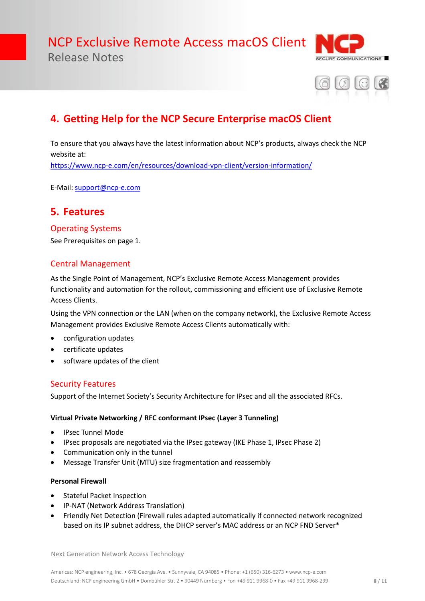



## **4. Getting Help for the NCP Secure Enterprise macOS Client**

To ensure that you always have the latest information about NCP's products, always check the NCP website at:

<https://www.ncp-e.com/en/resources/download-vpn-client/version-information/>

E-Mail[: support@ncp-e.com](mailto:support@ncp-e.com)

## **5. Features**

#### Operating Systems

See Prerequisites on page 1.

### Central Management

As the Single Point of Management, NCP's Exclusive Remote Access Management provides functionality and automation for the rollout, commissioning and efficient use of Exclusive Remote Access Clients.

Using the VPN connection or the LAN (when on the company network), the Exclusive Remote Access Management provides Exclusive Remote Access Clients automatically with:

- configuration updates
- certificate updates
- software updates of the client

#### Security Features

Support of the Internet Society's Security Architecture for IPsec and all the associated RFCs.

#### **Virtual Private Networking / RFC conformant IPsec (Layer 3 Tunneling)**

- IPsec Tunnel Mode
- IPsec proposals are negotiated via the IPsec gateway (IKE Phase 1, IPsec Phase 2)
- Communication only in the tunnel
- Message Transfer Unit (MTU) size fragmentation and reassembly

#### **Personal Firewall**

- Stateful Packet Inspection
- IP-NAT (Network Address Translation)
- Friendly Net Detection (Firewall rules adapted automatically if connected network recognized based on its IP subnet address, the DHCP server's MAC address or an NCP FND Server\*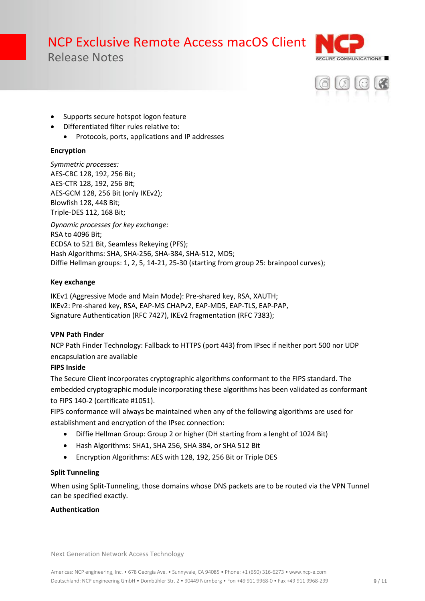



- Supports secure hotspot logon feature
- Differentiated filter rules relative to:
	- Protocols, ports, applications and IP addresses

#### **Encryption**

*Symmetric processes:*  AES-CBC 128, 192, 256 Bit; AES-CTR 128, 192, 256 Bit; AES-GCM 128, 256 Bit (only IKEv2); Blowfish 128, 448 Bit; Triple-DES 112, 168 Bit;

*Dynamic processes for key exchange:*  RSA to 4096 Bit; ECDSA to 521 Bit, Seamless Rekeying (PFS); Hash Algorithms: SHA, SHA-256, SHA-384, SHA-512, MD5; Diffie Hellman groups: 1, 2, 5, 14-21, 25-30 (starting from group 25: brainpool curves);

#### **Key exchange**

IKEv1 (Aggressive Mode and Main Mode): Pre-shared key, RSA, XAUTH; IKEv2: Pre-shared key, RSA, EAP-MS CHAPv2, EAP-MD5, EAP-TLS, EAP-PAP, Signature Authentication (RFC 7427), IKEv2 fragmentation (RFC 7383);

#### **VPN Path Finder**

NCP Path Finder Technology: Fallback to HTTPS (port 443) from IPsec if neither port 500 nor UDP encapsulation are available

#### **FIPS Inside**

The Secure Client incorporates cryptographic algorithms conformant to the FIPS standard. The embedded cryptographic module incorporating these algorithms has been validated as conformant to FIPS 140-2 (certificate #1051).

FIPS conformance will always be maintained when any of the following algorithms are used for establishment and encryption of the IPsec connection:

- Diffie Hellman Group: Group 2 or higher (DH starting from a lenght of 1024 Bit)
- Hash Algorithms: SHA1, SHA 256, SHA 384, or SHA 512 Bit
- Encryption Algorithms: AES with 128, 192, 256 Bit or Triple DES

#### **Split Tunneling**

When using Split-Tunneling, those domains whose DNS packets are to be routed via the VPN Tunnel can be specified exactly.

#### **Authentication**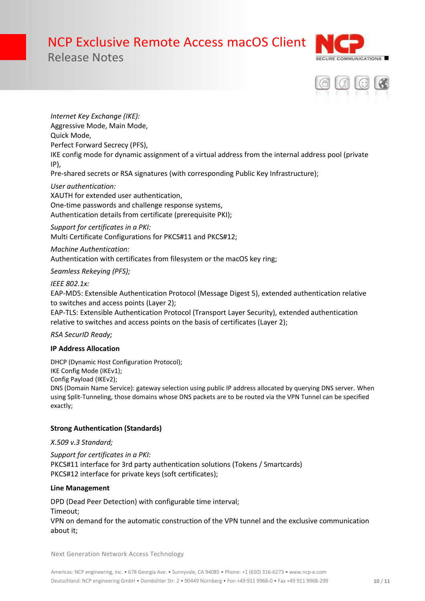



*Internet Key Exchange (IKE):* Aggressive Mode, Main Mode, Quick Mode, Perfect Forward Secrecy (PFS), IKE config mode for dynamic assignment of a virtual address from the internal address pool (private IP),

Pre-shared secrets or RSA signatures (with corresponding Public Key Infrastructure);

*User authentication:* XAUTH for extended user authentication, One-time passwords and challenge response systems, Authentication details from certificate (prerequisite PKI);

*Support for certificates in a PKI:* Multi Certificate Configurations for PKCS#11 and PKCS#12;

*Machine Authentication:* Authentication with certificates from filesystem or the macOS key ring;

*Seamless Rekeying (PFS);*

#### *IEEE 802.1x:*

EAP-MD5: Extensible Authentication Protocol (Message Digest 5), extended authentication relative to switches and access points (Layer 2);

EAP-TLS: Extensible Authentication Protocol (Transport Layer Security), extended authentication relative to switches and access points on the basis of certificates (Layer 2);

#### *RSA SecurID Ready;*

#### **IP Address Allocation**

DHCP (Dynamic Host Configuration Protocol); IKE Config Mode (IKEv1);

Config Payload (IKEv2);

DNS (Domain Name Service): gateway selection using public IP address allocated by querying DNS server. When using Split-Tunneling, those domains whose DNS packets are to be routed via the VPN Tunnel can be specified exactly;

#### **Strong Authentication (Standards)**

*X.509 v.3 Standard;*

*Support for certificates in a PKI:* PKCS#11 interface for 3rd party authentication solutions (Tokens / Smartcards) PKCS#12 interface for private keys (soft certificates);

#### **Line Management**

DPD (Dead Peer Detection) with configurable time interval;

Timeout;

VPN on demand for the automatic construction of the VPN tunnel and the exclusive communication about it;